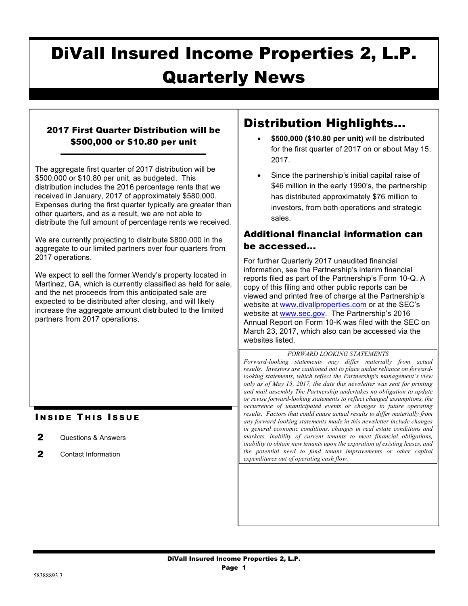# DiVall Insured Income Properties 2, L.P. Quarterly News

## 2017 First Quarter Distribution will be \$500,000 or \$10.80 per unit

The aggregate first quarter of 2017 distribution will be \$500,000 or \$10.80 per unit, as budgeted. This distribution includes the 2016 percentage rents that we received in January, 2017 of approximately \$580,000. Expenses during the first quarter typically are greater than other quarters, and as a result, we are not able to distribute the full amount of percentage rents we received.

We are currently projecting to distribute \$800,000 in the aggregate to our limited partners over four quarters from 2017 operations.

We expect to sell the former Wendy's property located in Martinez, GA, which is currently classified as held for sale, and the net proceeds from this anticipated sale are expected to be distributed after closing, and will likely increase the aggregate amount distributed to the limited partners from 2017 operations.

### **INSIDE THIS ISSUE**

- 2 Questions & Answers
- 2 Contact Information

# Distribution Highlights…

- **\$500,000 (\$10.80 per unit)** will be distributed for the first quarter of 2017 on or about May 15, 2017.
- Since the partnership's initial capital raise of \$46 million in the early 1990's, the partnership has distributed approximately \$76 million to investors, from both operations and strategic sales.

# Additional financial information can be accessed…

For further Quarterly 2017 unaudited financial information, see the Partnership's interim financial reports filed as part of the Partnership's Form 10-Q. A copy of this filing and other public reports can be viewed and printed free of charge at the Partnership's website at www.divallproperties.com or at the SEC's website at www.sec.gov. The Partnership's 2016 Annual Report on Form 10-K was filed with the SEC on March 23, 2017, which also can be accessed via the websites listed.

#### *FORWARD LOOKING STATEMENTS*

*Forward-looking statements may differ materially from actual results. Investors are cautioned not to place undue reliance on forwardlooking statements, which reflect the Partnership's management's view only as of May 15, 2017, the date this newsletter was sent for printing and mail assembly The Partnership undertakes no obligation to update or revise forward-looking statements to reflect changed assumptions, the occurrence of unanticipated events or changes to future operating results. Factors that could cause actual results to differ materially from any forward-looking statements made in this newsletter include changes in general economic conditions, changes in real estate conditions and markets, inability of current tenants to meet financial obligations, inability to obtain new tenants upon the expiration of existing leases, and the potential need to fund tenant improvements or other capital expenditures out of operating cash flow.*